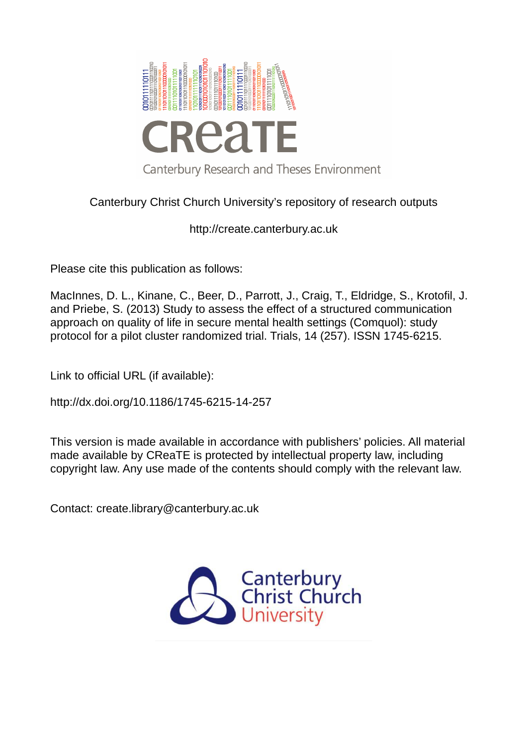

# Canterbury Christ Church University's repository of research outputs

http://create.canterbury.ac.uk

Please cite this publication as follows:

MacInnes, D. L., Kinane, C., Beer, D., Parrott, J., Craig, T., Eldridge, S., Krotofil, J. and Priebe, S. (2013) Study to assess the effect of a structured communication approach on quality of life in secure mental health settings (Comquol): study protocol for a pilot cluster randomized trial. Trials, 14 (257). ISSN 1745-6215.

Link to official URL (if available):

http://dx.doi.org/10.1186/1745-6215-14-257

This version is made available in accordance with publishers' policies. All material made available by CReaTE is protected by intellectual property law, including copyright law. Any use made of the contents should comply with the relevant law.

Contact: create.library@canterbury.ac.uk

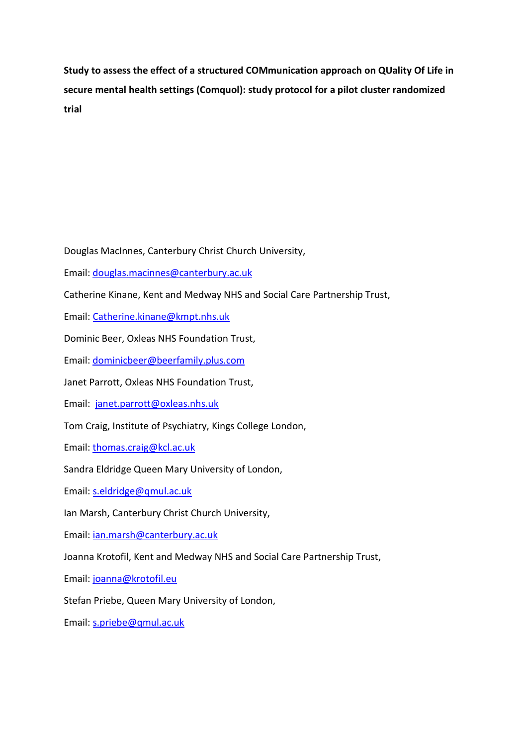**Study to assess the effect of a structured COMmunication approach on QUality Of Life in secure mental health settings (Comquol): study protocol for a pilot cluster randomized trial** 

Douglas MacInnes, Canterbury Christ Church University,

Email: [douglas.macinnes@canterbury.ac.uk](mailto:douglas.macinnes@canterbury.ac.uk) 

Catherine Kinane, Kent and Medway NHS and Social Care Partnership Trust,

Email: [Catherine.kinane@kmpt.nhs.uk](mailto:Catherine.kinane@kmpt.nhs.uk) 

Dominic Beer, Oxleas NHS Foundation Trust,

Email: [dominicbeer@beerfamily.plus.com](mailto:dominicbeer@beerfamily.plus.com)

Janet Parrott, Oxleas NHS Foundation Trust,

Email: [janet.parrott@oxleas.nhs.uk](mailto:janet.parrott@oxleas.nhs.uk) 

Tom Craig, Institute of Psychiatry, Kings College London,

Email: [thomas.craig@kcl.ac.uk](mailto:thomas.craig@kcl.ac.uk) 

Sandra Eldridge Queen Mary University of London,

Email: [s.eldridge@qmul.ac.uk](mailto:s.eldridge@qmul.ac.uk) 

Ian Marsh, Canterbury Christ Church University,

Email: [ian.marsh@canterbury.ac.uk](mailto:ian.marsh@canterbury.ac.uk) 

Joanna Krotofil, Kent and Medway NHS and Social Care Partnership Trust,

Email: [joanna@krotofil.eu](mailto:joanna@krotofil.eu) 

Stefan Priebe, Queen Mary University of London,

Email: [s.priebe@qmul.ac.uk](mailto:s.priebe@qmul.ac.uk)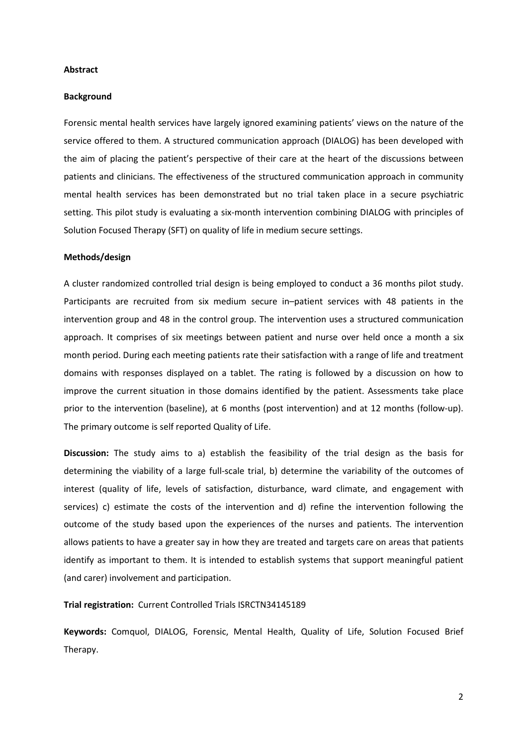#### **Abstract**

#### **Background**

Forensic mental health services have largely ignored examining patients' views on the nature of the service offered to them. A structured communication approach (DIALOG) has been developed with the aim of placing the patient's perspective of their care at the heart of the discussions between patients and clinicians. The effectiveness of the structured communication approach in community mental health services has been demonstrated but no trial taken place in a secure psychiatric setting. This pilot study is evaluating a six-month intervention combining DIALOG with principles of Solution Focused Therapy (SFT) on quality of life in medium secure settings.

#### **Methods/design**

A cluster randomized controlled trial design is being employed to conduct a 36 months pilot study. Participants are recruited from six medium secure in–patient services with 48 patients in the intervention group and 48 in the control group. The intervention uses a structured communication approach. It comprises of six meetings between patient and nurse over held once a month a six month period. During each meeting patients rate their satisfaction with a range of life and treatment domains with responses displayed on a tablet. The rating is followed by a discussion on how to improve the current situation in those domains identified by the patient. Assessments take place prior to the intervention (baseline), at 6 months (post intervention) and at 12 months (follow-up). The primary outcome is self reported Quality of Life.

**Discussion:** The study aims to a) establish the feasibility of the trial design as the basis for determining the viability of a large full-scale trial, b) determine the variability of the outcomes of interest (quality of life, levels of satisfaction, disturbance, ward climate, and engagement with services) c) estimate the costs of the intervention and d) refine the intervention following the outcome of the study based upon the experiences of the nurses and patients. The intervention allows patients to have a greater say in how they are treated and targets care on areas that patients identify as important to them. It is intended to establish systems that support meaningful patient (and carer) involvement and participation.

# **Trial registration:** Current Controlled Trials ISRCTN34145189

**Keywords:** Comquol, DIALOG, Forensic, Mental Health, Quality of Life, Solution Focused Brief Therapy.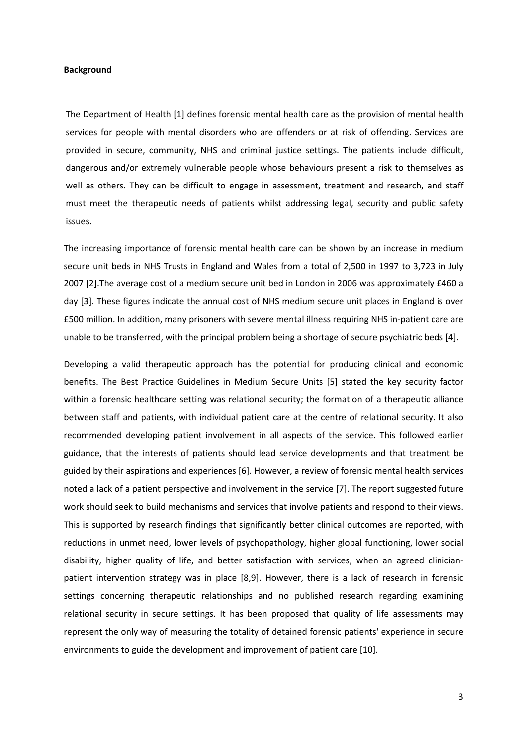#### **Background**

The Department of Health [1] defines forensic mental health care as the provision of mental health services for people with mental disorders who are offenders or at risk of offending. Services are provided in secure, community, NHS and criminal justice settings. The patients include difficult, dangerous and/or extremely vulnerable people whose behaviours present a risk to themselves as well as others. They can be difficult to engage in assessment, treatment and research, and staff must meet the therapeutic needs of patients whilst addressing legal, security and public safety issues.

The increasing importance of forensic mental health care can be shown by an increase in medium secure unit beds in NHS Trusts in England and Wales from a total of 2,500 in 1997 to 3,723 in July 2007 [2].The average cost of a medium secure unit bed in London in 2006 was approximately £460 a day [3]. These figures indicate the annual cost of NHS medium secure unit places in England is over £500 million. In addition, many prisoners with severe mental illness requiring NHS in-patient care are unable to be transferred, with the principal problem being a shortage of secure psychiatric beds [4].

Developing a valid therapeutic approach has the potential for producing clinical and economic benefits. The Best Practice Guidelines in Medium Secure Units [5] stated the key security factor within a forensic healthcare setting was relational security; the formation of a therapeutic alliance between staff and patients, with individual patient care at the centre of relational security. It also recommended developing patient involvement in all aspects of the service. This followed earlier guidance, that the interests of patients should lead service developments and that treatment be guided by their aspirations and experiences [6]. However, a review of forensic mental health services noted a lack of a patient perspective and involvement in the service [7]. The report suggested future work should seek to build mechanisms and services that involve patients and respond to their views. This is supported by research findings that significantly better clinical outcomes are reported, with reductions in unmet need, lower levels of psychopathology, higher global functioning, lower social disability, higher quality of life, and better satisfaction with services, when an agreed clinicianpatient intervention strategy was in place [8,9]. However, there is a lack of research in forensic settings concerning therapeutic relationships and no published research regarding examining relational security in secure settings. It has been proposed that quality of life assessments may represent the only way of measuring the totality of detained forensic patients' experience in secure environments to guide the development and improvement of patient care [10].

3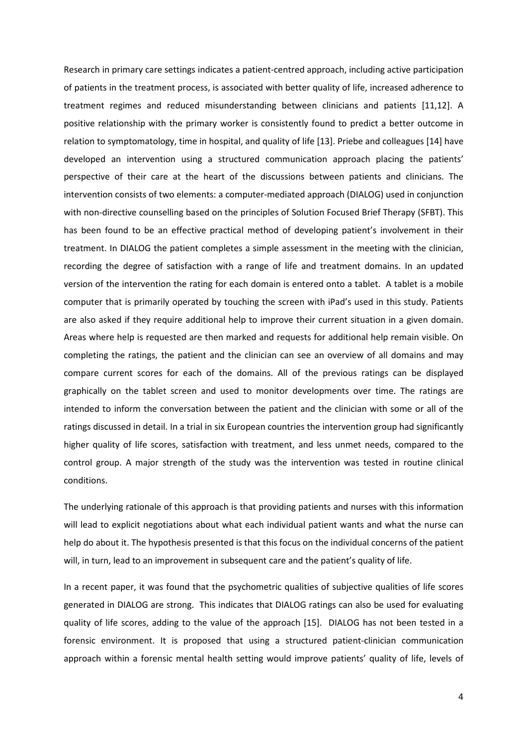Research in primary care settings indicates a patient-centred approach, including active participation of patients in the treatment process, is associated with better quality of life, increased adherence to treatment regimes and reduced misunderstanding between clinicians and patients [11,12]. A positive relationship with the primary worker is consistently found to predict a better outcome in relation to symptomatology, time in hospital, and quality of life [13]. Priebe and colleagues [14] have developed an intervention using a structured communication approach placing the patients' perspective of their care at the heart of the discussions between patients and clinicians. The intervention consists of two elements: a computer-mediated approach (DIALOG) used in conjunction with non-directive counselling based on the principles of Solution Focused Brief Therapy (SFBT). This has been found to be an effective practical method of developing patient's involvement in their treatment. In DIALOG the patient completes a simple assessment in the meeting with the clinician, recording the degree of satisfaction with a range of life and treatment domains. In an updated version of the intervention the rating for each domain is entered onto a tablet. A tablet is a mobile computer that is primarily operated by touching the screen with iPad's used in this study. Patients are also asked if they require additional help to improve their current situation in a given domain. Areas where help is requested are then marked and requests for additional help remain visible. On completing the ratings, the patient and the clinician can see an overview of all domains and may compare current scores for each of the domains. All of the previous ratings can be displayed graphically on the tablet screen and used to monitor developments over time. The ratings are intended to inform the conversation between the patient and the clinician with some or all of the ratings discussed in detail. In a trial in six European countries the intervention group had significantly higher quality of life scores, satisfaction with treatment, and less unmet needs, compared to the control group. A major strength of the study was the intervention was tested in routine clinical conditions.

The underlying rationale of this approach is that providing patients and nurses with this information will lead to explicit negotiations about what each individual patient wants and what the nurse can help do about it. The hypothesis presented is that this focus on the individual concerns of the patient will, in turn, lead to an improvement in subsequent care and the patient's quality of life.

In a recent paper, it was found that the psychometric qualities of subjective qualities of life scores generated in DIALOG are strong. This indicates that DIALOG ratings can also be used for evaluating quality of life scores, adding to the value of the approach [15]. DIALOG has not been tested in a forensic environment. It is proposed that using a structured patient-clinician communication approach within a forensic mental health setting would improve patients' quality of life, levels of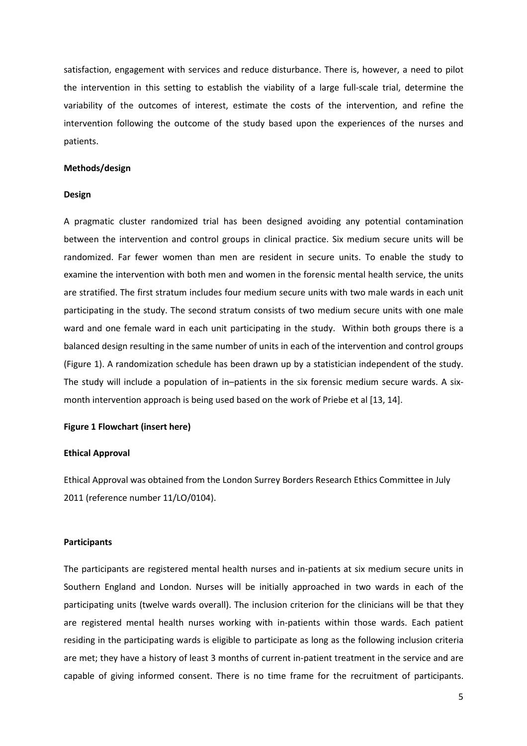satisfaction, engagement with services and reduce disturbance. There is, however, a need to pilot the intervention in this setting to establish the viability of a large full-scale trial, determine the variability of the outcomes of interest, estimate the costs of the intervention, and refine the intervention following the outcome of the study based upon the experiences of the nurses and patients.

#### **Methods/design**

#### **Design**

A pragmatic cluster randomized trial has been designed avoiding any potential contamination between the intervention and control groups in clinical practice. Six medium secure units will be randomized. Far fewer women than men are resident in secure units. To enable the study to examine the intervention with both men and women in the forensic mental health service, the units are stratified. The first stratum includes four medium secure units with two male wards in each unit participating in the study. The second stratum consists of two medium secure units with one male ward and one female ward in each unit participating in the study. Within both groups there is a balanced design resulting in the same number of units in each of the intervention and control groups (Figure 1). A randomization schedule has been drawn up by a statistician independent of the study. The study will include a population of in–patients in the six forensic medium secure wards. A sixmonth intervention approach is being used based on the work of Priebe et al [13, 14].

#### **Figure 1 Flowchart (insert here)**

#### **Ethical Approval**

Ethical Approval was obtained from the London Surrey Borders Research Ethics Committee in July 2011 (reference number 11/LO/0104).

#### **Participants**

The participants are registered mental health nurses and in-patients at six medium secure units in Southern England and London. Nurses will be initially approached in two wards in each of the participating units (twelve wards overall). The inclusion criterion for the clinicians will be that they are registered mental health nurses working with in-patients within those wards. Each patient residing in the participating wards is eligible to participate as long as the following inclusion criteria are met; they have a history of least 3 months of current in-patient treatment in the service and are capable of giving informed consent. There is no time frame for the recruitment of participants.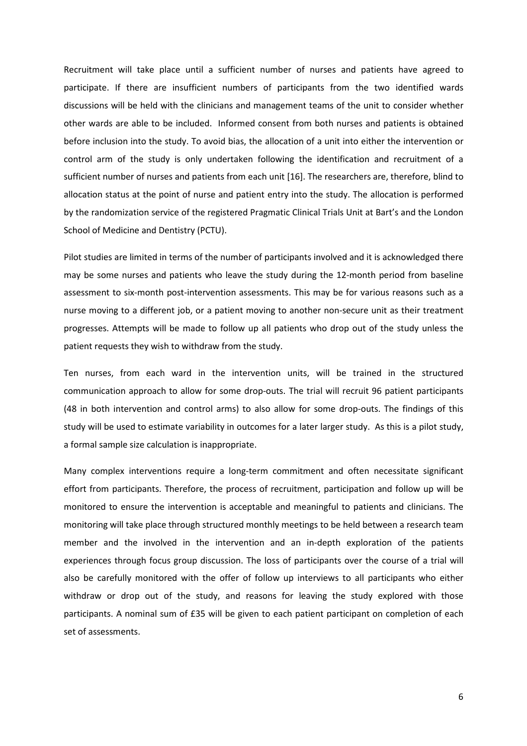Recruitment will take place until a sufficient number of nurses and patients have agreed to participate. If there are insufficient numbers of participants from the two identified wards discussions will be held with the clinicians and management teams of the unit to consider whether other wards are able to be included. Informed consent from both nurses and patients is obtained before inclusion into the study. To avoid bias, the allocation of a unit into either the intervention or control arm of the study is only undertaken following the identification and recruitment of a sufficient number of nurses and patients from each unit [16]. The researchers are, therefore, blind to allocation status at the point of nurse and patient entry into the study. The allocation is performed by the randomization service of the registered Pragmatic Clinical Trials Unit at Bart's and the London School of Medicine and Dentistry (PCTU).

Pilot studies are limited in terms of the number of participants involved and it is acknowledged there may be some nurses and patients who leave the study during the 12-month period from baseline assessment to six-month post-intervention assessments. This may be for various reasons such as a nurse moving to a different job, or a patient moving to another non-secure unit as their treatment progresses. Attempts will be made to follow up all patients who drop out of the study unless the patient requests they wish to withdraw from the study.

Ten nurses, from each ward in the intervention units, will be trained in the structured communication approach to allow for some drop-outs. The trial will recruit 96 patient participants (48 in both intervention and control arms) to also allow for some drop-outs. The findings of this study will be used to estimate variability in outcomes for a later larger study. As this is a pilot study, a formal sample size calculation is inappropriate.

Many complex interventions require a long-term commitment and often necessitate significant effort from participants. Therefore, the process of recruitment, participation and follow up will be monitored to ensure the intervention is acceptable and meaningful to patients and clinicians. The monitoring will take place through structured monthly meetings to be held between a research team member and the involved in the intervention and an in-depth exploration of the patients experiences through focus group discussion. The loss of participants over the course of a trial will also be carefully monitored with the offer of follow up interviews to all participants who either withdraw or drop out of the study, and reasons for leaving the study explored with those participants. A nominal sum of £35 will be given to each patient participant on completion of each set of assessments.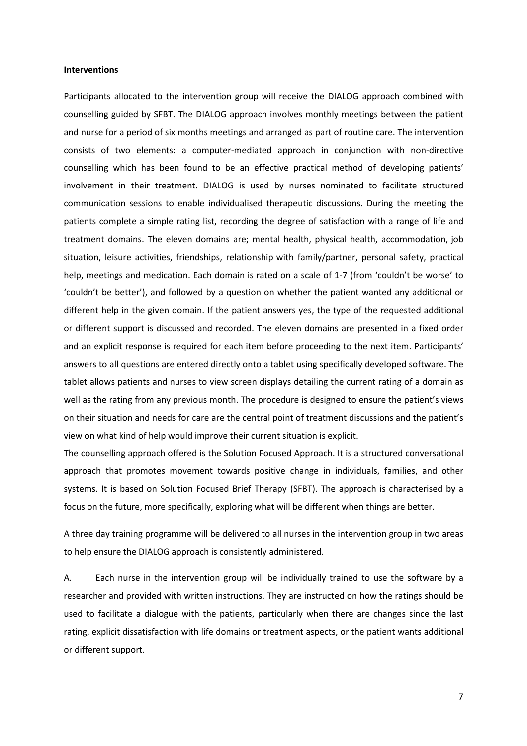#### **Interventions**

Participants allocated to the intervention group will receive the DIALOG approach combined with counselling guided by SFBT. The DIALOG approach involves monthly meetings between the patient and nurse for a period of six months meetings and arranged as part of routine care. The intervention consists of two elements: a computer-mediated approach in conjunction with non-directive counselling which has been found to be an effective practical method of developing patients' involvement in their treatment. DIALOG is used by nurses nominated to facilitate structured communication sessions to enable individualised therapeutic discussions. During the meeting the patients complete a simple rating list, recording the degree of satisfaction with a range of life and treatment domains. The eleven domains are; mental health, physical health, accommodation, job situation, leisure activities, friendships, relationship with family/partner, personal safety, practical help, meetings and medication. Each domain is rated on a scale of 1-7 (from 'couldn't be worse' to 'couldn't be better'), and followed by a question on whether the patient wanted any additional or different help in the given domain. If the patient answers yes, the type of the requested additional or different support is discussed and recorded. The eleven domains are presented in a fixed order and an explicit response is required for each item before proceeding to the next item. Participants' answers to all questions are entered directly onto a tablet using specifically developed software. The tablet allows patients and nurses to view screen displays detailing the current rating of a domain as well as the rating from any previous month. The procedure is designed to ensure the patient's views on their situation and needs for care are the central point of treatment discussions and the patient's view on what kind of help would improve their current situation is explicit.

The counselling approach offered is the Solution Focused Approach. It is a structured conversational approach that promotes movement towards positive change in individuals, families, and other systems. It is based on Solution Focused Brief Therapy (SFBT). The approach is characterised by a focus on the future, more specifically, exploring what will be different when things are better.

A three day training programme will be delivered to all nurses in the intervention group in two areas to help ensure the DIALOG approach is consistently administered.

A. Each nurse in the intervention group will be individually trained to use the software by a researcher and provided with written instructions. They are instructed on how the ratings should be used to facilitate a dialogue with the patients, particularly when there are changes since the last rating, explicit dissatisfaction with life domains or treatment aspects, or the patient wants additional or different support.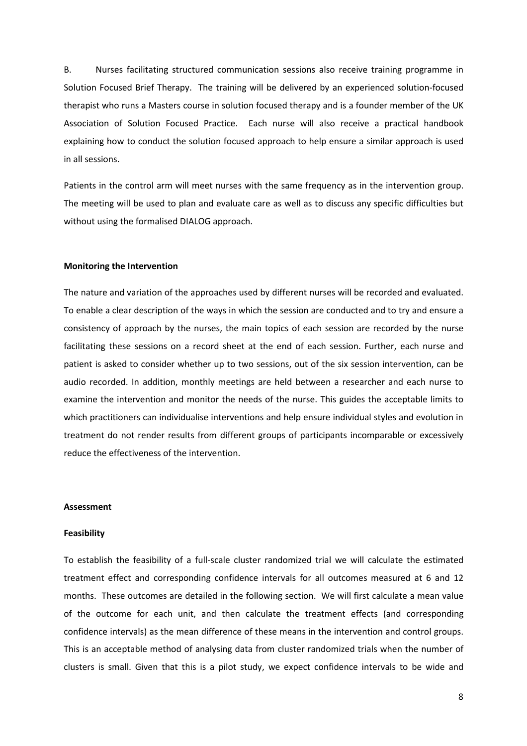B. Nurses facilitating structured communication sessions also receive training programme in Solution Focused Brief Therapy. The training will be delivered by an experienced solution-focused therapist who runs a Masters course in solution focused therapy and is a founder member of the UK Association of Solution Focused Practice. Each nurse will also receive a practical handbook explaining how to conduct the solution focused approach to help ensure a similar approach is used in all sessions.

Patients in the control arm will meet nurses with the same frequency as in the intervention group. The meeting will be used to plan and evaluate care as well as to discuss any specific difficulties but without using the formalised DIALOG approach.

#### **Monitoring the Intervention**

The nature and variation of the approaches used by different nurses will be recorded and evaluated. To enable a clear description of the ways in which the session are conducted and to try and ensure a consistency of approach by the nurses, the main topics of each session are recorded by the nurse facilitating these sessions on a record sheet at the end of each session. Further, each nurse and patient is asked to consider whether up to two sessions, out of the six session intervention, can be audio recorded. In addition, monthly meetings are held between a researcher and each nurse to examine the intervention and monitor the needs of the nurse. This guides the acceptable limits to which practitioners can individualise interventions and help ensure individual styles and evolution in treatment do not render results from different groups of participants incomparable or excessively reduce the effectiveness of the intervention.

#### **Assessment**

#### **Feasibility**

To establish the feasibility of a full-scale cluster randomized trial we will calculate the estimated treatment effect and corresponding confidence intervals for all outcomes measured at 6 and 12 months. These outcomes are detailed in the following section. We will first calculate a mean value of the outcome for each unit, and then calculate the treatment effects (and corresponding confidence intervals) as the mean difference of these means in the intervention and control groups. This is an acceptable method of analysing data from cluster randomized trials when the number of clusters is small. Given that this is a pilot study, we expect confidence intervals to be wide and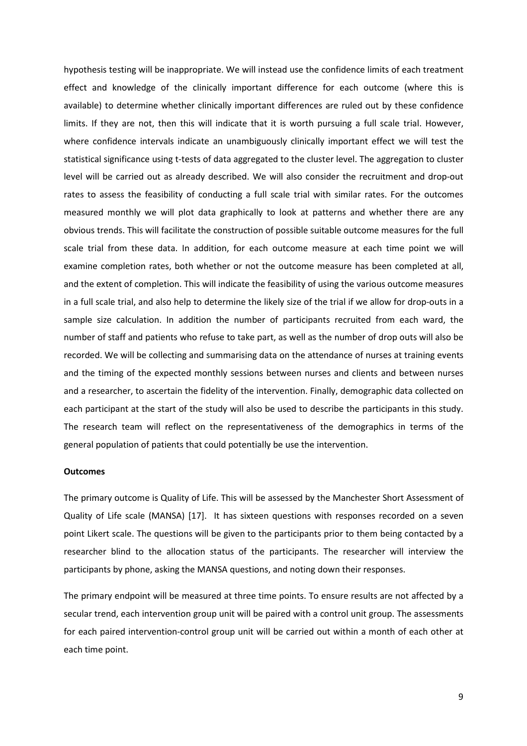hypothesis testing will be inappropriate. We will instead use the confidence limits of each treatment effect and knowledge of the clinically important difference for each outcome (where this is available) to determine whether clinically important differences are ruled out by these confidence limits. If they are not, then this will indicate that it is worth pursuing a full scale trial. However, where confidence intervals indicate an unambiguously clinically important effect we will test the statistical significance using t-tests of data aggregated to the cluster level. The aggregation to cluster level will be carried out as already described. We will also consider the recruitment and drop-out rates to assess the feasibility of conducting a full scale trial with similar rates. For the outcomes measured monthly we will plot data graphically to look at patterns and whether there are any obvious trends. This will facilitate the construction of possible suitable outcome measures for the full scale trial from these data. In addition, for each outcome measure at each time point we will examine completion rates, both whether or not the outcome measure has been completed at all, and the extent of completion. This will indicate the feasibility of using the various outcome measures in a full scale trial, and also help to determine the likely size of the trial if we allow for drop-outs in a sample size calculation. In addition the number of participants recruited from each ward, the number of staff and patients who refuse to take part, as well as the number of drop outs will also be recorded. We will be collecting and summarising data on the attendance of nurses at training events and the timing of the expected monthly sessions between nurses and clients and between nurses and a researcher, to ascertain the fidelity of the intervention. Finally, demographic data collected on each participant at the start of the study will also be used to describe the participants in this study. The research team will reflect on the representativeness of the demographics in terms of the general population of patients that could potentially be use the intervention.

# **Outcomes**

The primary outcome is Quality of Life. This will be assessed by the Manchester Short Assessment of Quality of Life scale (MANSA) [17]. It has sixteen questions with responses recorded on a seven point Likert scale. The questions will be given to the participants prior to them being contacted by a researcher blind to the allocation status of the participants. The researcher will interview the participants by phone, asking the MANSA questions, and noting down their responses.

The primary endpoint will be measured at three time points. To ensure results are not affected by a secular trend, each intervention group unit will be paired with a control unit group. The assessments for each paired intervention-control group unit will be carried out within a month of each other at each time point.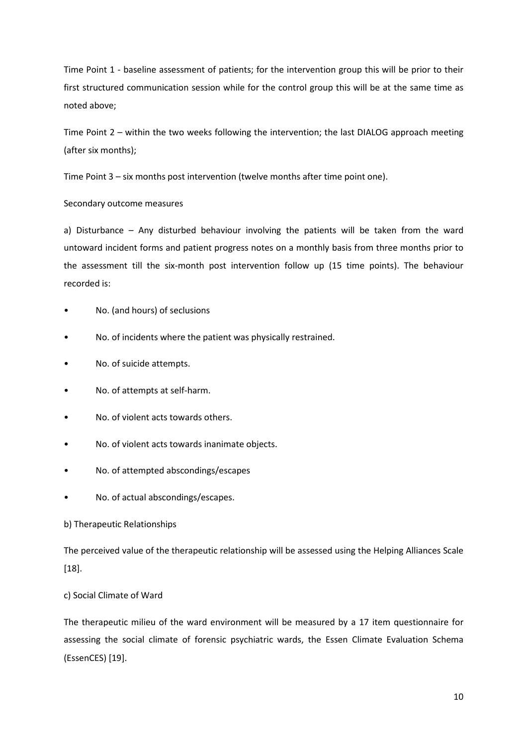Time Point 1 - baseline assessment of patients; for the intervention group this will be prior to their first structured communication session while for the control group this will be at the same time as noted above;

Time Point 2 – within the two weeks following the intervention; the last DIALOG approach meeting (after six months);

Time Point 3 – six months post intervention (twelve months after time point one).

Secondary outcome measures

a) Disturbance – Any disturbed behaviour involving the patients will be taken from the ward untoward incident forms and patient progress notes on a monthly basis from three months prior to the assessment till the six-month post intervention follow up (15 time points). The behaviour recorded is:

- No. (and hours) of seclusions
- No. of incidents where the patient was physically restrained.
- No. of suicide attempts.
- No. of attempts at self-harm.
- No. of violent acts towards others.
- No. of violent acts towards inanimate objects.
- No. of attempted abscondings/escapes
- No. of actual abscondings/escapes.

#### b) Therapeutic Relationships

The perceived value of the therapeutic relationship will be assessed using the Helping Alliances Scale [18].

# c) Social Climate of Ward

The therapeutic milieu of the ward environment will be measured by a 17 item questionnaire for assessing the social climate of forensic psychiatric wards, the Essen Climate Evaluation Schema (EssenCES) [19].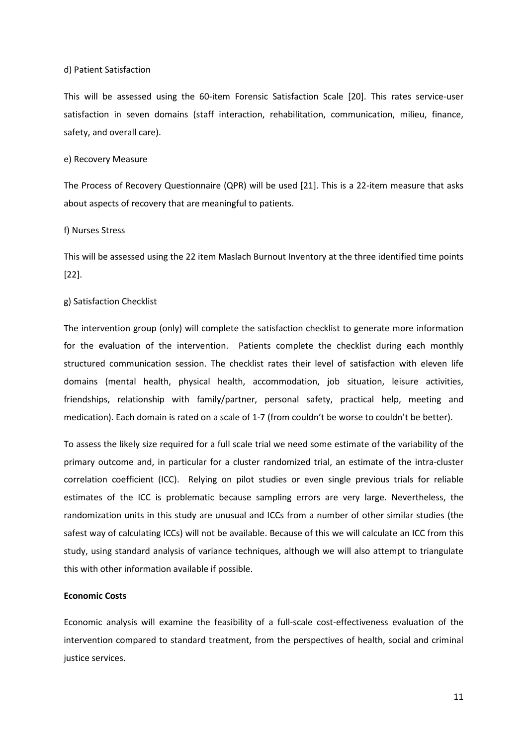#### d) Patient Satisfaction

This will be assessed using the 60-item Forensic Satisfaction Scale [20]. This rates service-user satisfaction in seven domains (staff interaction, rehabilitation, communication, milieu, finance, safety, and overall care).

# e) Recovery Measure

The Process of Recovery Questionnaire (QPR) will be used [21]. This is a 22-item measure that asks about aspects of recovery that are meaningful to patients.

#### f) Nurses Stress

This will be assessed using the 22 item Maslach Burnout Inventory at the three identified time points [22].

#### g) Satisfaction Checklist

The intervention group (only) will complete the satisfaction checklist to generate more information for the evaluation of the intervention. Patients complete the checklist during each monthly structured communication session. The checklist rates their level of satisfaction with eleven life domains (mental health, physical health, accommodation, job situation, leisure activities, friendships, relationship with family/partner, personal safety, practical help, meeting and medication). Each domain is rated on a scale of 1-7 (from couldn't be worse to couldn't be better).

To assess the likely size required for a full scale trial we need some estimate of the variability of the primary outcome and, in particular for a cluster randomized trial, an estimate of the intra-cluster correlation coefficient (ICC). Relying on pilot studies or even single previous trials for reliable estimates of the ICC is problematic because sampling errors are very large. Nevertheless, the randomization units in this study are unusual and ICCs from a number of other similar studies (the safest way of calculating ICCs) will not be available. Because of this we will calculate an ICC from this study, using standard analysis of variance techniques, although we will also attempt to triangulate this with other information available if possible.

#### **Economic Costs**

Economic analysis will examine the feasibility of a full-scale cost-effectiveness evaluation of the intervention compared to standard treatment, from the perspectives of health, social and criminal justice services.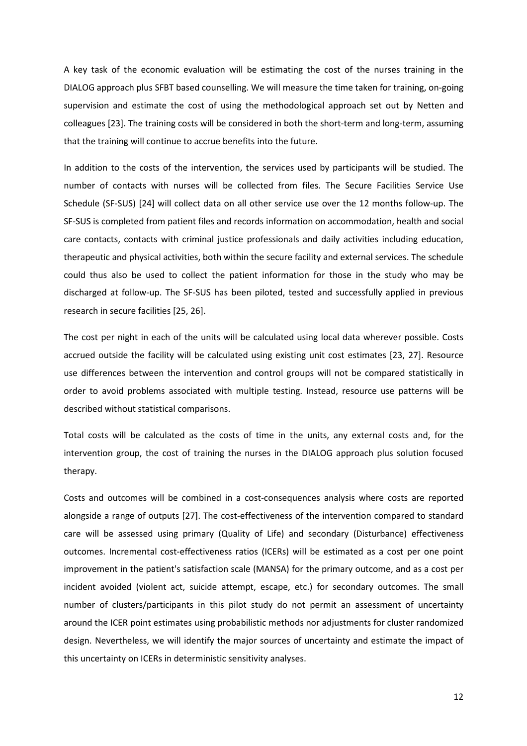A key task of the economic evaluation will be estimating the cost of the nurses training in the DIALOG approach plus SFBT based counselling. We will measure the time taken for training, on-going supervision and estimate the cost of using the methodological approach set out by Netten and colleagues [23]. The training costs will be considered in both the short-term and long-term, assuming that the training will continue to accrue benefits into the future.

In addition to the costs of the intervention, the services used by participants will be studied. The number of contacts with nurses will be collected from files. The Secure Facilities Service Use Schedule (SF-SUS) [24] will collect data on all other service use over the 12 months follow-up. The SF-SUS is completed from patient files and records information on accommodation, health and social care contacts, contacts with criminal justice professionals and daily activities including education, therapeutic and physical activities, both within the secure facility and external services. The schedule could thus also be used to collect the patient information for those in the study who may be discharged at follow-up. The SF-SUS has been piloted, tested and successfully applied in previous research in secure facilities [25, 26].

The cost per night in each of the units will be calculated using local data wherever possible. Costs accrued outside the facility will be calculated using existing unit cost estimates [23, 27]. Resource use differences between the intervention and control groups will not be compared statistically in order to avoid problems associated with multiple testing. Instead, resource use patterns will be described without statistical comparisons.

Total costs will be calculated as the costs of time in the units, any external costs and, for the intervention group, the cost of training the nurses in the DIALOG approach plus solution focused therapy.

Costs and outcomes will be combined in a cost-consequences analysis where costs are reported alongside a range of outputs [27]. The cost-effectiveness of the intervention compared to standard care will be assessed using primary (Quality of Life) and secondary (Disturbance) effectiveness outcomes. Incremental cost-effectiveness ratios (ICERs) will be estimated as a cost per one point improvement in the patient's satisfaction scale (MANSA) for the primary outcome, and as a cost per incident avoided (violent act, suicide attempt, escape, etc.) for secondary outcomes. The small number of clusters/participants in this pilot study do not permit an assessment of uncertainty around the ICER point estimates using probabilistic methods nor adjustments for cluster randomized design. Nevertheless, we will identify the major sources of uncertainty and estimate the impact of this uncertainty on ICERs in deterministic sensitivity analyses.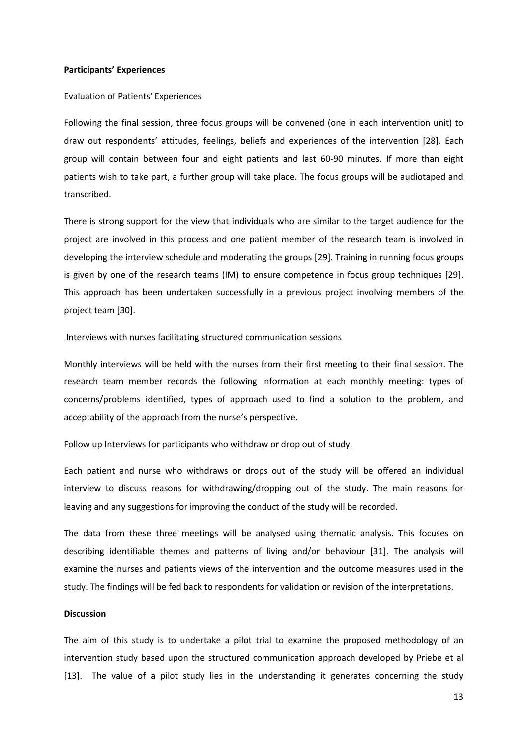#### **Participants' Experiences**

#### Evaluation of Patients' Experiences

Following the final session, three focus groups will be convened (one in each intervention unit) to draw out respondents' attitudes, feelings, beliefs and experiences of the intervention [28]. Each group will contain between four and eight patients and last 60-90 minutes. If more than eight patients wish to take part, a further group will take place. The focus groups will be audiotaped and transcribed.

There is strong support for the view that individuals who are similar to the target audience for the project are involved in this process and one patient member of the research team is involved in developing the interview schedule and moderating the groups [29]. Training in running focus groups is given by one of the research teams (IM) to ensure competence in focus group techniques [29]. This approach has been undertaken successfully in a previous project involving members of the project team [30].

Interviews with nurses facilitating structured communication sessions

Monthly interviews will be held with the nurses from their first meeting to their final session. The research team member records the following information at each monthly meeting: types of concerns/problems identified, types of approach used to find a solution to the problem, and acceptability of the approach from the nurse's perspective.

Follow up Interviews for participants who withdraw or drop out of study.

Each patient and nurse who withdraws or drops out of the study will be offered an individual interview to discuss reasons for withdrawing/dropping out of the study. The main reasons for leaving and any suggestions for improving the conduct of the study will be recorded.

The data from these three meetings will be analysed using thematic analysis. This focuses on describing identifiable themes and patterns of living and/or behaviour [31]. The analysis will examine the nurses and patients views of the intervention and the outcome measures used in the study. The findings will be fed back to respondents for validation or revision of the interpretations.

#### **Discussion**

The aim of this study is to undertake a pilot trial to examine the proposed methodology of an intervention study based upon the structured communication approach developed by Priebe et al [13]. The value of a pilot study lies in the understanding it generates concerning the study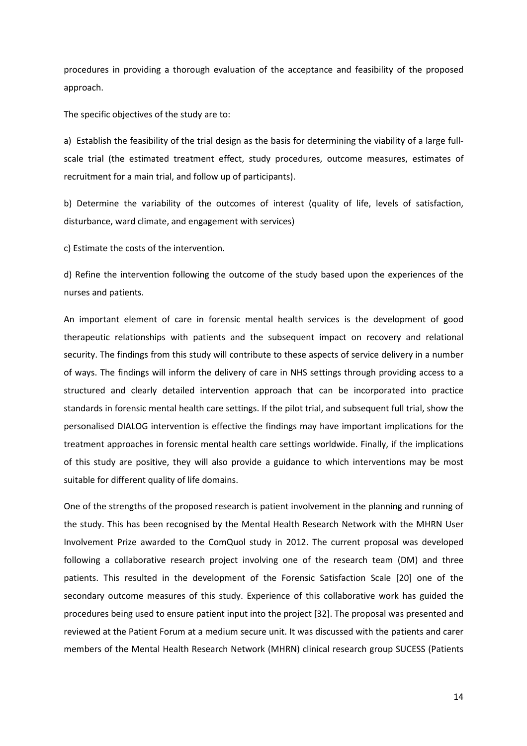procedures in providing a thorough evaluation of the acceptance and feasibility of the proposed approach.

The specific objectives of the study are to:

a) Establish the feasibility of the trial design as the basis for determining the viability of a large fullscale trial (the estimated treatment effect, study procedures, outcome measures, estimates of recruitment for a main trial, and follow up of participants).

b) Determine the variability of the outcomes of interest (quality of life, levels of satisfaction, disturbance, ward climate, and engagement with services)

c) Estimate the costs of the intervention.

d) Refine the intervention following the outcome of the study based upon the experiences of the nurses and patients.

An important element of care in forensic mental health services is the development of good therapeutic relationships with patients and the subsequent impact on recovery and relational security. The findings from this study will contribute to these aspects of service delivery in a number of ways. The findings will inform the delivery of care in NHS settings through providing access to a structured and clearly detailed intervention approach that can be incorporated into practice standards in forensic mental health care settings. If the pilot trial, and subsequent full trial, show the personalised DIALOG intervention is effective the findings may have important implications for the treatment approaches in forensic mental health care settings worldwide. Finally, if the implications of this study are positive, they will also provide a guidance to which interventions may be most suitable for different quality of life domains.

One of the strengths of the proposed research is patient involvement in the planning and running of the study. This has been recognised by the Mental Health Research Network with the MHRN User Involvement Prize awarded to the ComQuol study in 2012. The current proposal was developed following a collaborative research project involving one of the research team (DM) and three patients. This resulted in the development of the Forensic Satisfaction Scale [20] one of the secondary outcome measures of this study. Experience of this collaborative work has guided the procedures being used to ensure patient input into the project [32]. The proposal was presented and reviewed at the Patient Forum at a medium secure unit. It was discussed with the patients and carer members of the Mental Health Research Network (MHRN) clinical research group SUCESS (Patients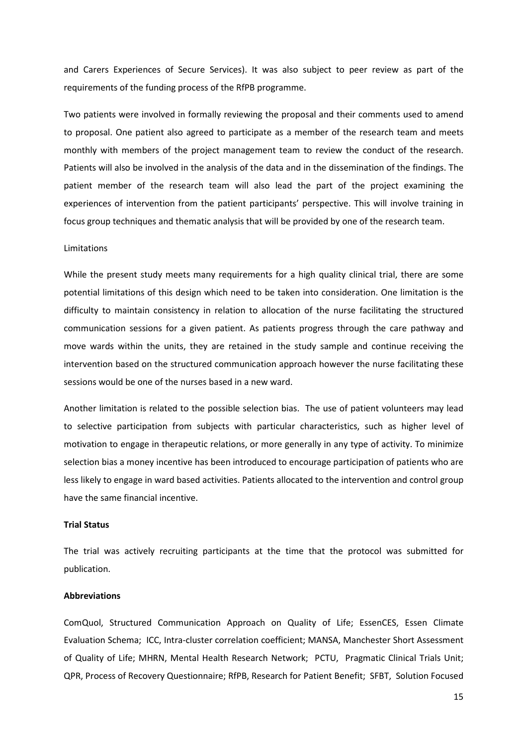and Carers Experiences of Secure Services). It was also subject to peer review as part of the requirements of the funding process of the RfPB programme.

Two patients were involved in formally reviewing the proposal and their comments used to amend to proposal. One patient also agreed to participate as a member of the research team and meets monthly with members of the project management team to review the conduct of the research. Patients will also be involved in the analysis of the data and in the dissemination of the findings. The patient member of the research team will also lead the part of the project examining the experiences of intervention from the patient participants' perspective. This will involve training in focus group techniques and thematic analysis that will be provided by one of the research team.

# Limitations

While the present study meets many requirements for a high quality clinical trial, there are some potential limitations of this design which need to be taken into consideration. One limitation is the difficulty to maintain consistency in relation to allocation of the nurse facilitating the structured communication sessions for a given patient. As patients progress through the care pathway and move wards within the units, they are retained in the study sample and continue receiving the intervention based on the structured communication approach however the nurse facilitating these sessions would be one of the nurses based in a new ward.

Another limitation is related to the possible selection bias. The use of patient volunteers may lead to selective participation from subjects with particular characteristics, such as higher level of motivation to engage in therapeutic relations, or more generally in any type of activity. To minimize selection bias a money incentive has been introduced to encourage participation of patients who are less likely to engage in ward based activities. Patients allocated to the intervention and control group have the same financial incentive.

#### **Trial Status**

The trial was actively recruiting participants at the time that the protocol was submitted for publication.

#### **Abbreviations**

ComQuol, Structured Communication Approach on Quality of Life; EssenCES, Essen Climate Evaluation Schema; ICC, Intra-cluster correlation coefficient; MANSA, Manchester Short Assessment of Quality of Life; MHRN, Mental Health Research Network; PCTU, Pragmatic Clinical Trials Unit; QPR, Process of Recovery Questionnaire; RfPB, Research for Patient Benefit; SFBT, Solution Focused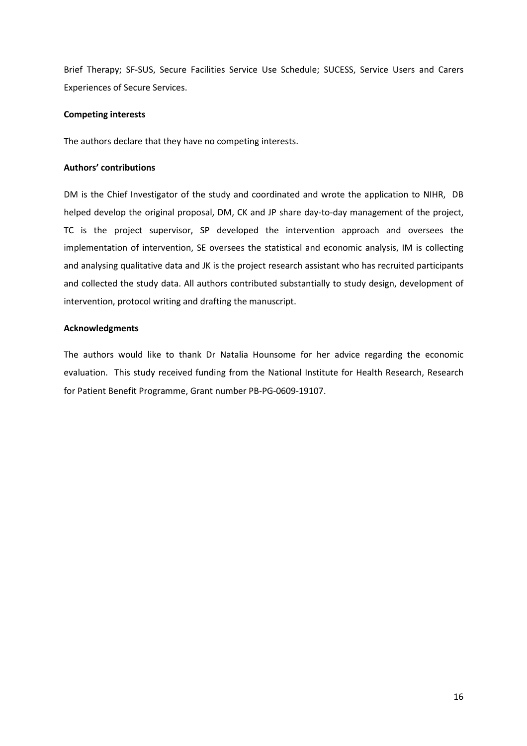Brief Therapy; SF-SUS, Secure Facilities Service Use Schedule; SUCESS, Service Users and Carers Experiences of Secure Services.

# **Competing interests**

The authors declare that they have no competing interests.

# **Authors' contributions**

DM is the Chief Investigator of the study and coordinated and wrote the application to NIHR, DB helped develop the original proposal, DM, CK and JP share day-to-day management of the project, TC is the project supervisor, SP developed the intervention approach and oversees the implementation of intervention, SE oversees the statistical and economic analysis, IM is collecting and analysing qualitative data and JK is the project research assistant who has recruited participants and collected the study data. All authors contributed substantially to study design, development of intervention, protocol writing and drafting the manuscript.

# **Acknowledgments**

The authors would like to thank Dr Natalia Hounsome for her advice regarding the economic evaluation. This study received funding from the National Institute for Health Research, Research for Patient Benefit Programme, Grant number PB-PG-0609-19107.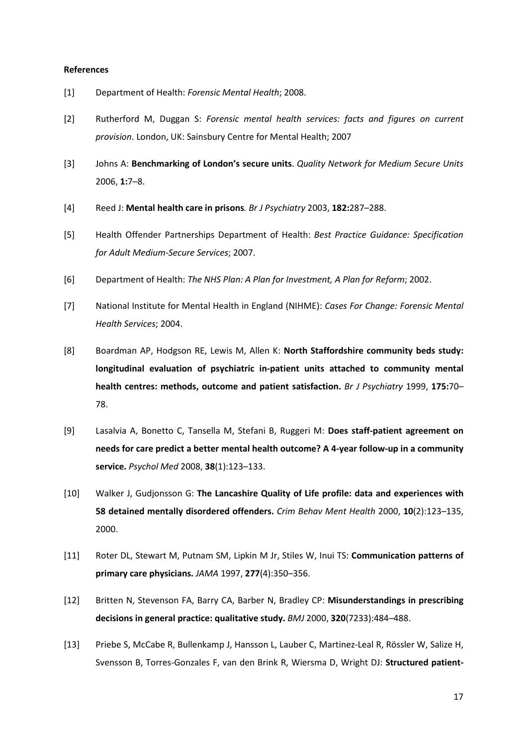#### **References**

- [1] Department of Health: *Forensic Mental Health*; 2008.
- [2] Rutherford M, Duggan S: *Forensic mental health services: facts and figures on current provision*. London, UK: Sainsbury Centre for Mental Health; 2007
- [3] Johns A: **Benchmarking of London's secure units**. *Quality Network for Medium Secure Units*  2006, **1:**7–8.
- [4] Reed J: **Mental health care in prisons***. Br J Psychiatry* 2003, **182:**287–288.
- [5] Health Offender Partnerships Department of Health: *Best Practice Guidance: Specification for Adult Medium-Secure Services*; 2007.
- [6] Department of Health: *The NHS Plan: A Plan for Investment, A Plan for Reform*; 2002.
- [7] National Institute for Mental Health in England (NIHME): *Cases For Change: Forensic Mental Health Services*; 2004.
- [8] Boardman AP, Hodgson RE, Lewis M, Allen K: **North Staffordshire community beds study: longitudinal evaluation of psychiatric in-patient units attached to community mental health centres: methods, outcome and patient satisfaction.** *Br J Psychiatry* 1999, **175:**70– 78.
- [9] Lasalvia A, Bonetto C, Tansella M, Stefani B, Ruggeri M: **Does staff-patient agreement on needs for care predict a better mental health outcome? A 4-year follow-up in a community service.** *Psychol Med* 2008, **38**(1):123–133.
- [10] Walker J, Gudjonsson G: **The Lancashire Quality of Life profile: data and experiences with 58 detained mentally disordered offenders.** *Crim Behav Ment Health* 2000, **10**(2):123–135, 2000.
- [11] Roter DL, Stewart M, Putnam SM, Lipkin M Jr, Stiles W, Inui TS: **Communication patterns of primary care physicians.** *JAMA* 1997, **277**(4):350–356.
- [12] Britten N, Stevenson FA, Barry CA, Barber N, Bradley CP: **Misunderstandings in prescribing decisions in general practice: qualitative study.** *BMJ* 2000, **320**(7233):484–488.
- [13] Priebe S, McCabe R, Bullenkamp J, Hansson L, Lauber C, Martinez-Leal R, Rössler W, Salize H, Svensson B, Torres-Gonzales F, van den Brink R, Wiersma D, Wright DJ: **Structured patient-**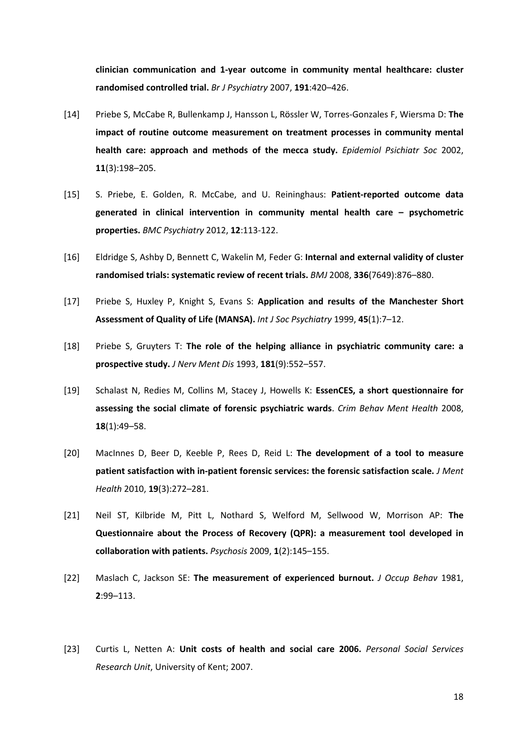**clinician communication and 1-year outcome in community mental healthcare: cluster randomised controlled trial.** *Br J Psychiatry* 2007, **191**:420–426.

- [14] Priebe S, McCabe R, Bullenkamp J, Hansson L, Rössler W, Torres-Gonzales F, Wiersma D: **The impact of routine outcome measurement on treatment processes in community mental health care: approach and methods of the mecca study.** *Epidemiol Psichiatr Soc* 2002, **11**(3):198–205.
- [15] S. Priebe, E. Golden, R. McCabe, and U. Reininghaus: **Patient-reported outcome data generated in clinical intervention in community mental health care – psychometric properties.** *BMC Psychiatry* 2012, **12**:113-122.
- [16] Eldridge S, Ashby D, Bennett C, Wakelin M, Feder G: **Internal and external validity of cluster randomised trials: systematic review of recent trials.** *BMJ* 2008, **336**(7649):876–880.
- [17] Priebe S, Huxley P, Knight S, Evans S: **Application and results of the Manchester Short Assessment of Quality of Life (MANSA).** *Int J Soc Psychiatry* 1999, **45**(1):7–12.
- [18] Priebe S, Gruyters T: **The role of the helping alliance in psychiatric community care: a prospective study.** *J Nerv Ment Dis* 1993, **181**(9):552–557.
- [19] Schalast N, Redies M, Collins M, Stacey J, Howells K: **EssenCES, a short questionnaire for assessing the social climate of forensic psychiatric wards**. *Crim Behav Ment Health* 2008, **18**(1):49–58.
- [20] MacInnes D, Beer D, Keeble P, Rees D, Reid L: **The development of a tool to measure patient satisfaction with in-patient forensic services: the forensic satisfaction scale.** *J Ment Health* 2010, **19**(3):272–281.
- [21] Neil ST, Kilbride M, Pitt L, Nothard S, Welford M, Sellwood W, Morrison AP: **The Questionnaire about the Process of Recovery (QPR): a measurement tool developed in collaboration with patients.** *Psychosis* 2009, **1**(2):145–155.
- [22] Maslach C, Jackson SE: **The measurement of experienced burnout.** *J Occup Behav* 1981, **2**:99–113.
- [23] Curtis L, Netten A: **Unit costs of health and social care 2006.** *Personal Social Services Research Unit*, University of Kent; 2007.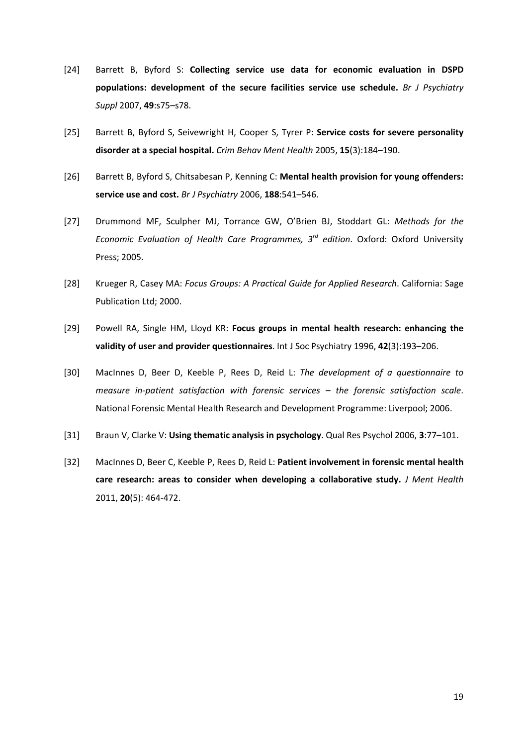- [24] Barrett B, Byford S: **Collecting service use data for economic evaluation in DSPD populations: development of the secure facilities service use schedule.** *Br J Psychiatry Suppl* 2007, **49**:s75–s78.
- [25] Barrett B, Byford S, Seivewright H, Cooper S, Tyrer P: **Service costs for severe personality disorder at a special hospital.** *Crim Behav Ment Health* 2005, **15**(3):184–190.
- [26] Barrett B, Byford S, Chitsabesan P, Kenning C: **Mental health provision for young offenders: service use and cost.** *Br J Psychiatry* 2006, **188**:541–546.
- [27] Drummond MF, Sculpher MJ, Torrance GW, O'Brien BJ, Stoddart GL: *Methods for the Economic Evaluation of Health Care Programmes, 3rd edition*. Oxford: Oxford University Press; 2005.
- [28] Krueger R, Casey MA: *Focus Groups: A Practical Guide for Applied Research*. California: Sage Publication Ltd; 2000.
- [29] Powell RA, Single HM, Lloyd KR: **Focus groups in mental health research: enhancing the validity of user and provider questionnaires**. Int J Soc Psychiatry 1996, **42**(3):193–206.
- [30] MacInnes D, Beer D, Keeble P, Rees D, Reid L: *The development of a questionnaire to measure in-patient satisfaction with forensic services – the forensic satisfaction scale*. National Forensic Mental Health Research and Development Programme: Liverpool; 2006.
- [31] Braun V, Clarke V: **Using thematic analysis in psychology**. Qual Res Psychol 2006, **3**:77–101.
- [32] MacInnes D, Beer C, Keeble P, Rees D, Reid L: **Patient involvement in forensic mental health care research: areas to consider when developing a collaborative study.** *J Ment Health*  2011, **20**(5): 464-472.